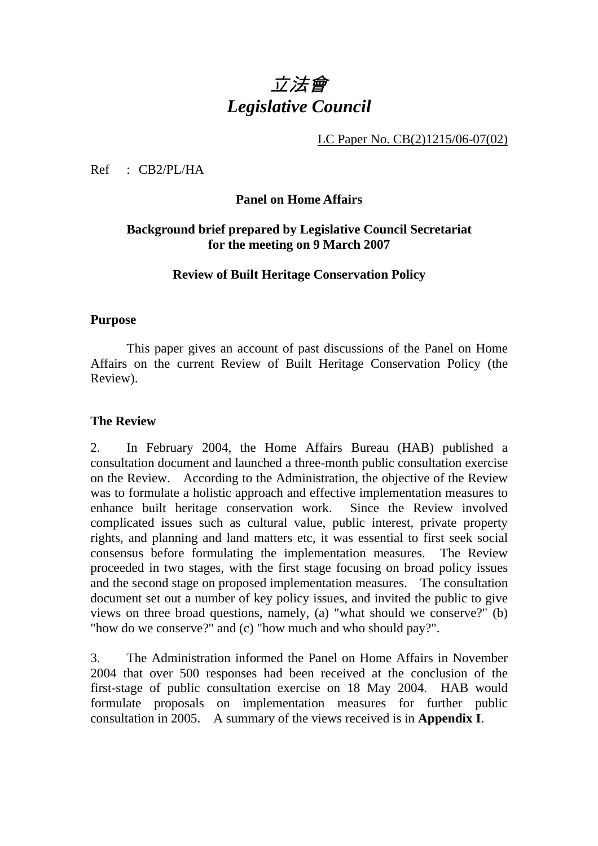# 立法會 *Legislative Council*

LC Paper No. CB(2)1215/06-07(02)

Ref : CB2/PL/HA

#### **Panel on Home Affairs**

## **Background brief prepared by Legislative Council Secretariat for the meeting on 9 March 2007**

## **Review of Built Heritage Conservation Policy**

#### **Purpose**

This paper gives an account of past discussions of the Panel on Home Affairs on the current Review of Built Heritage Conservation Policy (the Review).

#### **The Review**

2.. In February 2004, the Home Affairs Bureau (HAB) published a consultation document and launched a three-month public consultation exercise on the Review. According to the Administration, the objective of the Review was to formulate a holistic approach and effective implementation measures to enhance built heritage conservation work. Since the Review involved complicated issues such as cultural value, public interest, private property rights, and planning and land matters etc, it was essential to first seek social consensus before formulating the implementation measures. The Review proceeded in two stages, with the first stage focusing on broad policy issues and the second stage on proposed implementation measures. The consultation document set out a number of key policy issues, and invited the public to give views on three broad questions, namely, (a) "what should we conserve?" (b) "how do we conserve?" and (c) "how much and who should pay?".

3. The Administration informed the Panel on Home Affairs in November 2004 that over 500 responses had been received at the conclusion of the first-stage of public consultation exercise on 18 May 2004. HAB would formulate proposals on implementation measures for further public consultation in 2005. A summary of the views received is in **Appendix I**.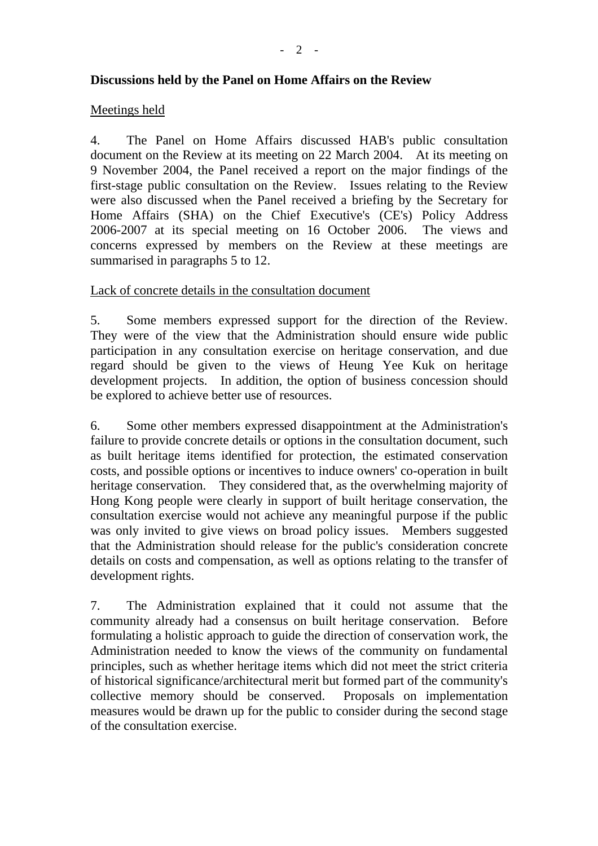#### **Discussions held by the Panel on Home Affairs on the Review**

#### Meetings held

4. The Panel on Home Affairs discussed HAB's public consultation document on the Review at its meeting on 22 March 2004. At its meeting on 9 November 2004, the Panel received a report on the major findings of the first-stage public consultation on the Review. Issues relating to the Review were also discussed when the Panel received a briefing by the Secretary for Home Affairs (SHA) on the Chief Executive's (CE's) Policy Address 2006-2007 at its special meeting on 16 October 2006. The views and concerns expressed by members on the Review at these meetings are summarised in paragraphs 5 to 12.

#### Lack of concrete details in the consultation document

5. Some members expressed support for the direction of the Review. They were of the view that the Administration should ensure wide public participation in any consultation exercise on heritage conservation, and due regard should be given to the views of Heung Yee Kuk on heritage development projects. In addition, the option of business concession should be explored to achieve better use of resources.

6. Some other members expressed disappointment at the Administration's failure to provide concrete details or options in the consultation document, such as built heritage items identified for protection, the estimated conservation costs, and possible options or incentives to induce owners' co-operation in built heritage conservation. They considered that, as the overwhelming majority of Hong Kong people were clearly in support of built heritage conservation, the consultation exercise would not achieve any meaningful purpose if the public was only invited to give views on broad policy issues. Members suggested that the Administration should release for the public's consideration concrete details on costs and compensation, as well as options relating to the transfer of development rights.

7. The Administration explained that it could not assume that the community already had a consensus on built heritage conservation. Before formulating a holistic approach to guide the direction of conservation work, the Administration needed to know the views of the community on fundamental principles, such as whether heritage items which did not meet the strict criteria of historical significance/architectural merit but formed part of the community's collective memory should be conserved. Proposals on implementation measures would be drawn up for the public to consider during the second stage of the consultation exercise.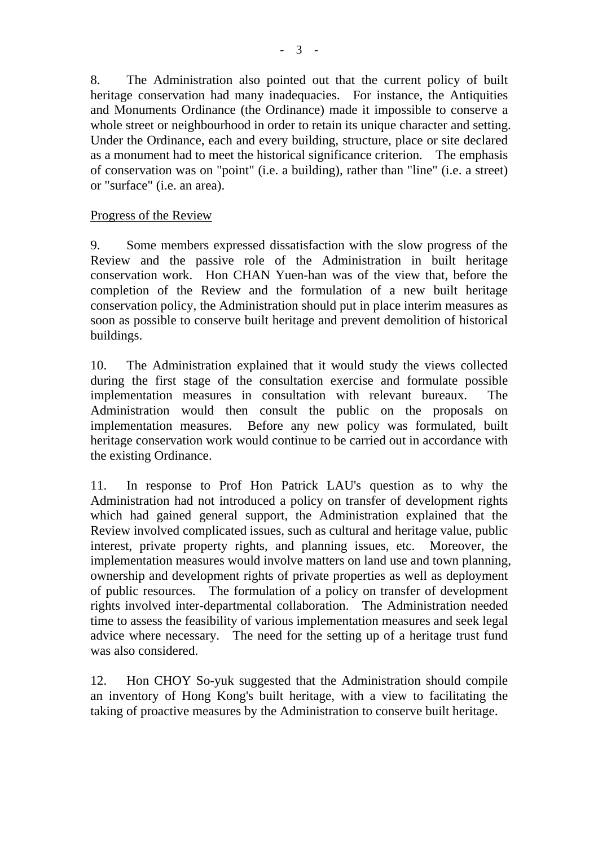8. The Administration also pointed out that the current policy of built heritage conservation had many inadequacies. For instance, the Antiquities and Monuments Ordinance (the Ordinance) made it impossible to conserve a whole street or neighbourhood in order to retain its unique character and setting. Under the Ordinance, each and every building, structure, place or site declared as a monument had to meet the historical significance criterion. The emphasis of conservation was on "point" (i.e. a building), rather than "line" (i.e. a street) or "surface" (i.e. an area).

#### Progress of the Review

9. Some members expressed dissatisfaction with the slow progress of the Review and the passive role of the Administration in built heritage conservation work. Hon CHAN Yuen-han was of the view that, before the completion of the Review and the formulation of a new built heritage conservation policy, the Administration should put in place interim measures as soon as possible to conserve built heritage and prevent demolition of historical buildings.

10. The Administration explained that it would study the views collected during the first stage of the consultation exercise and formulate possible implementation measures in consultation with relevant bureaux. The Administration would then consult the public on the proposals on implementation measures. Before any new policy was formulated, built heritage conservation work would continue to be carried out in accordance with the existing Ordinance.

11. In response to Prof Hon Patrick LAU's question as to why the Administration had not introduced a policy on transfer of development rights which had gained general support, the Administration explained that the Review involved complicated issues, such as cultural and heritage value, public interest, private property rights, and planning issues, etc. Moreover, the implementation measures would involve matters on land use and town planning, ownership and development rights of private properties as well as deployment of public resources. The formulation of a policy on transfer of development rights involved inter-departmental collaboration. The Administration needed time to assess the feasibility of various implementation measures and seek legal advice where necessary. The need for the setting up of a heritage trust fund was also considered.

12. Hon CHOY So-yuk suggested that the Administration should compile an inventory of Hong Kong's built heritage, with a view to facilitating the taking of proactive measures by the Administration to conserve built heritage.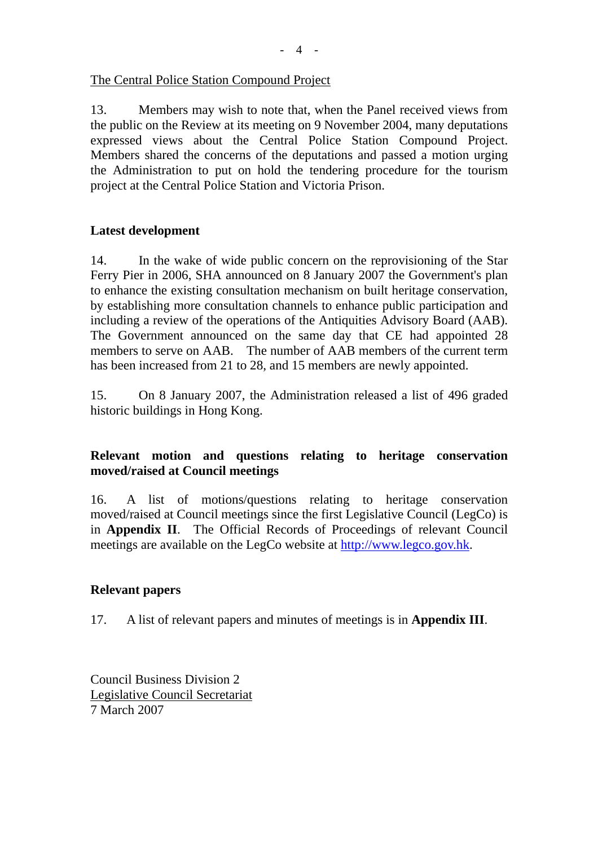- 4 -

#### The Central Police Station Compound Project

13. Members may wish to note that, when the Panel received views from the public on the Review at its meeting on 9 November 2004, many deputations expressed views about the Central Police Station Compound Project. Members shared the concerns of the deputations and passed a motion urging the Administration to put on hold the tendering procedure for the tourism project at the Central Police Station and Victoria Prison.

## **Latest development**

14. In the wake of wide public concern on the reprovisioning of the Star Ferry Pier in 2006, SHA announced on 8 January 2007 the Government's plan to enhance the existing consultation mechanism on built heritage conservation, by establishing more consultation channels to enhance public participation and including a review of the operations of the Antiquities Advisory Board (AAB). The Government announced on the same day that CE had appointed 28 members to serve on AAB. The number of AAB members of the current term has been increased from 21 to 28, and 15 members are newly appointed.

15. On 8 January 2007, the Administration released a list of 496 graded historic buildings in Hong Kong.

# **Relevant motion and questions relating to heritage conservation moved/raised at Council meetings**

16. A list of motions/questions relating to heritage conservation moved/raised at Council meetings since the first Legislative Council (LegCo) is in **Appendix II**. The Official Records of Proceedings of relevant Council meetings are available on the LegCo website at http://www.legco.gov.hk.

#### **Relevant papers**

17. A list of relevant papers and minutes of meetings is in **Appendix III**.

Council Business Division 2 Legislative Council Secretariat 7 March 2007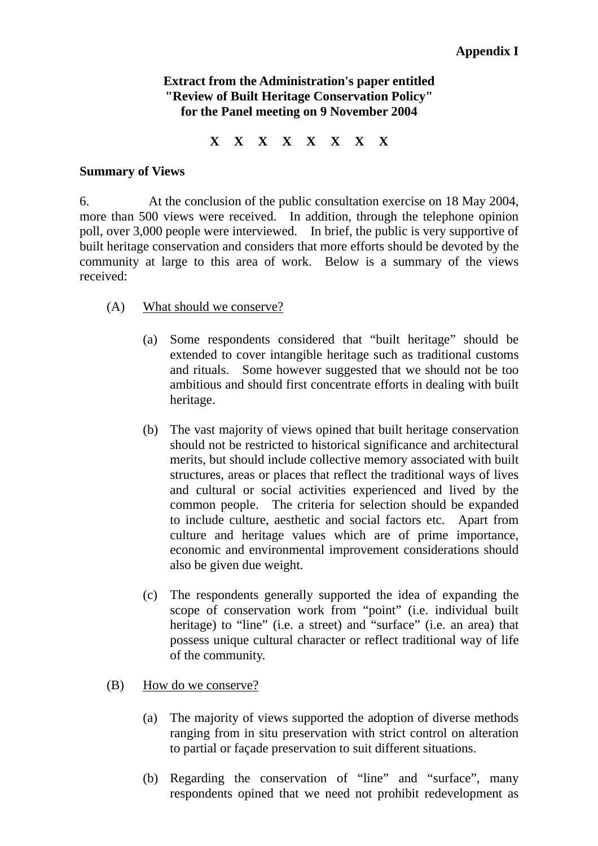## **Extract from the Administration's paper entitled "Review of Built Heritage Conservation Policy" for the Panel meeting on 9 November 2004**

**X X X X X X X X** 

#### **Summary of Views**

6. At the conclusion of the public consultation exercise on 18 May 2004, more than 500 views were received. In addition, through the telephone opinion poll, over 3,000 people were interviewed. In brief, the public is very supportive of built heritage conservation and considers that more efforts should be devoted by the community at large to this area of work. Below is a summary of the views received:

- (A) What should we conserve?
	- (a) Some respondents considered that "built heritage" should be extended to cover intangible heritage such as traditional customs and rituals. Some however suggested that we should not be too ambitious and should first concentrate efforts in dealing with built heritage.
	- (b) The vast majority of views opined that built heritage conservation should not be restricted to historical significance and architectural merits, but should include collective memory associated with built structures, areas or places that reflect the traditional ways of lives and cultural or social activities experienced and lived by the common people. The criteria for selection should be expanded to include culture, aesthetic and social factors etc. Apart from culture and heritage values which are of prime importance, economic and environmental improvement considerations should also be given due weight.
	- (c) The respondents generally supported the idea of expanding the scope of conservation work from "point" (i.e. individual built heritage) to "line" (i.e. a street) and "surface" (i.e. an area) that possess unique cultural character or reflect traditional way of life of the community.
- (B) How do we conserve?
	- (a) The majority of views supported the adoption of diverse methods ranging from in situ preservation with strict control on alteration to partial or façade preservation to suit different situations.
	- (b) Regarding the conservation of "line" and "surface", many respondents opined that we need not prohibit redevelopment as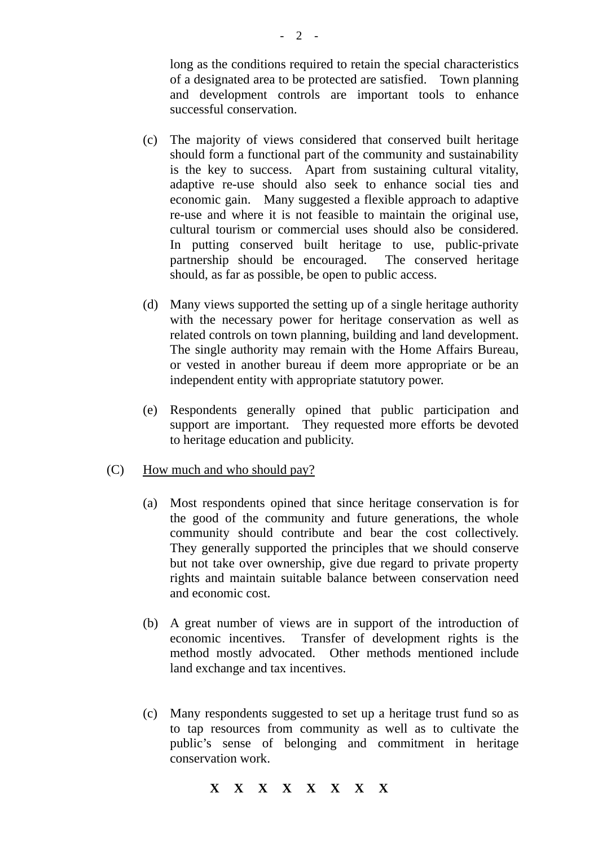long as the conditions required to retain the special characteristics of a designated area to be protected are satisfied. Town planning and development controls are important tools to enhance successful conservation.

- (c) The majority of views considered that conserved built heritage should form a functional part of the community and sustainability is the key to success. Apart from sustaining cultural vitality, adaptive re-use should also seek to enhance social ties and economic gain. Many suggested a flexible approach to adaptive re-use and where it is not feasible to maintain the original use, cultural tourism or commercial uses should also be considered. In putting conserved built heritage to use, public-private partnership should be encouraged. The conserved heritage should, as far as possible, be open to public access.
- (d) Many views supported the setting up of a single heritage authority with the necessary power for heritage conservation as well as related controls on town planning, building and land development. The single authority may remain with the Home Affairs Bureau, or vested in another bureau if deem more appropriate or be an independent entity with appropriate statutory power.
- (e) Respondents generally opined that public participation and support are important. They requested more efforts be devoted to heritage education and publicity.
- (C) How much and who should pay?
	- (a) Most respondents opined that since heritage conservation is for the good of the community and future generations, the whole community should contribute and bear the cost collectively. They generally supported the principles that we should conserve but not take over ownership, give due regard to private property rights and maintain suitable balance between conservation need and economic cost.
	- (b) A great number of views are in support of the introduction of economic incentives. Transfer of development rights is the method mostly advocated. Other methods mentioned include land exchange and tax incentives.
	- (c) Many respondents suggested to set up a heritage trust fund so as to tap resources from community as well as to cultivate the public's sense of belonging and commitment in heritage conservation work.

#### **X X X X X X X X**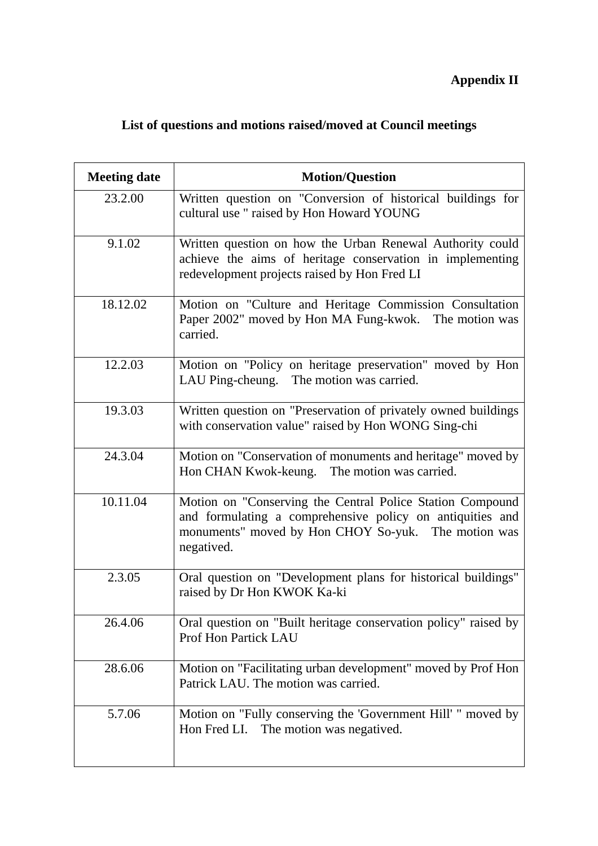# **Appendix II**

# **List of questions and motions raised/moved at Council meetings**

| <b>Meeting date</b> | <b>Motion/Question</b>                                                                                                                                                                      |  |  |
|---------------------|---------------------------------------------------------------------------------------------------------------------------------------------------------------------------------------------|--|--|
| 23.2.00             | Written question on "Conversion of historical buildings for<br>cultural use " raised by Hon Howard YOUNG                                                                                    |  |  |
| 9.1.02              | Written question on how the Urban Renewal Authority could<br>achieve the aims of heritage conservation in implementing<br>redevelopment projects raised by Hon Fred LI                      |  |  |
| 18.12.02            | Motion on "Culture and Heritage Commission Consultation<br>Paper 2002" moved by Hon MA Fung-kwok. The motion was<br>carried.                                                                |  |  |
| 12.2.03             | Motion on "Policy on heritage preservation" moved by Hon<br>LAU Ping-cheung. The motion was carried.                                                                                        |  |  |
| 19.3.03             | Written question on "Preservation of privately owned buildings<br>with conservation value" raised by Hon WONG Sing-chi                                                                      |  |  |
| 24.3.04             | Motion on "Conservation of monuments and heritage" moved by<br>Hon CHAN Kwok-keung. The motion was carried.                                                                                 |  |  |
| 10.11.04            | Motion on "Conserving the Central Police Station Compound<br>and formulating a comprehensive policy on antiquities and<br>monuments" moved by Hon CHOY So-yuk. The motion was<br>negatived. |  |  |
| 2.3.05              | Oral question on "Development plans for historical buildings"<br>raised by Dr Hon KWOK Ka-ki                                                                                                |  |  |
| 26.4.06             | Oral question on "Built heritage conservation policy" raised by<br>Prof Hon Partick LAU                                                                                                     |  |  |
| 28.6.06             | Motion on "Facilitating urban development" moved by Prof Hon<br>Patrick LAU. The motion was carried.                                                                                        |  |  |
| 5.7.06              | Motion on "Fully conserving the 'Government Hill' " moved by<br>The motion was negatived.<br>Hon Fred LI.                                                                                   |  |  |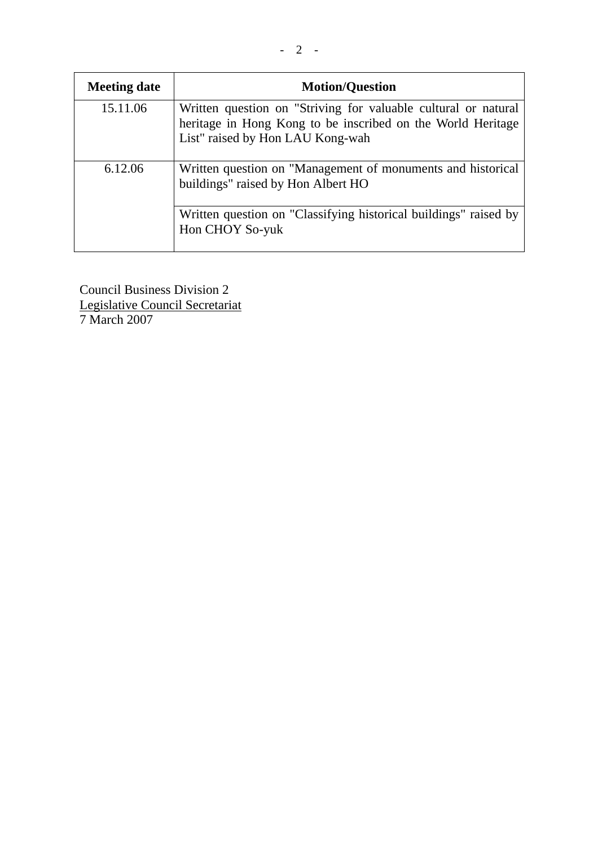| <b>Meeting date</b> | <b>Motion/Question</b>                                                                                                                                            |
|---------------------|-------------------------------------------------------------------------------------------------------------------------------------------------------------------|
| 15.11.06            | Written question on "Striving for valuable cultural or natural<br>heritage in Hong Kong to be inscribed on the World Heritage<br>List" raised by Hon LAU Kong-wah |
| 6.12.06             | Written question on "Management of monuments and historical<br>buildings" raised by Hon Albert HO                                                                 |
|                     | Written question on "Classifying historical buildings" raised by<br>Hon CHOY So-yuk                                                                               |

Council Business Division 2 Legislative Council Secretariat 7 March 2007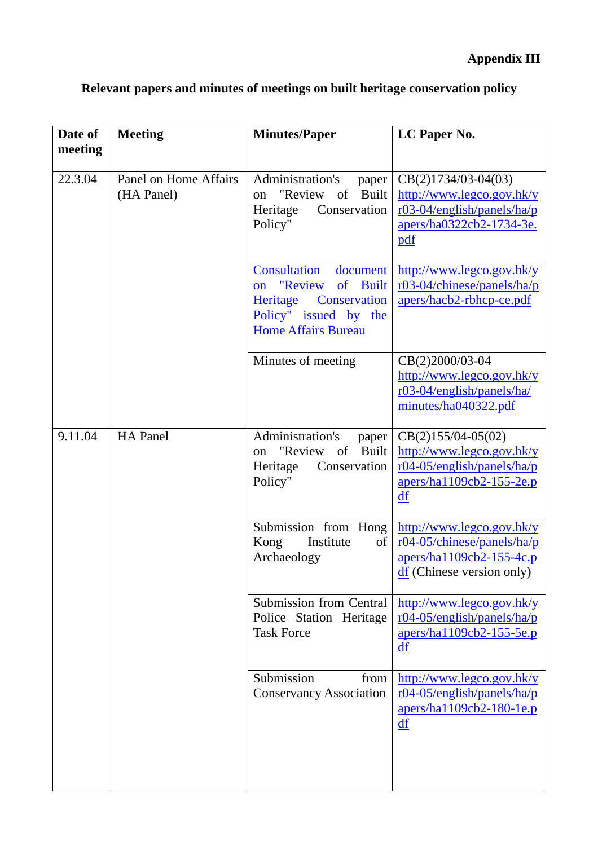| Date of<br>meeting | <b>Meeting</b>                      | <b>Minutes/Paper</b>                                                                                                                                          | LC Paper No.                                                                                                                  |
|--------------------|-------------------------------------|---------------------------------------------------------------------------------------------------------------------------------------------------------------|-------------------------------------------------------------------------------------------------------------------------------|
| 22.3.04            | Panel on Home Affairs<br>(HA Panel) | Administration's<br>paper<br>"Review of<br><b>Built</b><br>on<br>Conservation<br>Heritage<br>Policy"                                                          | $CB(2)1734/03-04(03)$<br>http://www.legco.gov.hk/y<br>$r03-04/english/panels/ha/p$<br>apers/ha0322cb2-1734-3e.<br>pdf         |
|                    |                                     | Consultation<br>document<br>"Review<br><sub>of</sub><br><b>Built</b><br>on<br>Conservation<br>Heritage<br>Policy" issued by the<br><b>Home Affairs Bureau</b> | http://www.legco.gov.hk/y<br>r03-04/chinese/panels/ha/p<br>apers/hacb2-rbhcp-ce.pdf                                           |
|                    |                                     | Minutes of meeting                                                                                                                                            | CB(2)2000/03-04<br>http://www.legco.gov.hk/y<br>$r03-04/english/panels/ha/$<br>minutes/ha040322.pdf                           |
| 9.11.04            | <b>HA</b> Panel                     | Administration's<br>paper<br>"Review of<br><b>Built</b><br>on<br>Heritage<br>Conservation<br>Policy"                                                          | $CB(2)155/04-05(02)$<br>http://www.legco.gov.hk/y<br>r04-05/english/panels/ha/p<br>apers/ha1109cb2-155-2e.p<br>df             |
|                    |                                     | Submission from Hong<br>Institute<br>Kong<br>of<br>Archaeology                                                                                                | http://www.legco.gov.hk/y<br>r04-05/chinese/panels/ha/p<br>apers/ha1109cb2-155-4c.p<br>$\frac{df}{dt}$ (Chinese version only) |
|                    |                                     | <b>Submission from Central</b><br>Police Station Heritage<br><b>Task Force</b>                                                                                | http://www.legco.gov.hk/y<br>$r04-05/english/panels/ha/p$<br>apers/ha1109cb2-155-5e.p<br>df                                   |
|                    |                                     | Submission<br>from<br><b>Conservancy Association</b>                                                                                                          | http://www.legco.gov.hk/y<br>r04-05/english/panels/ha/p<br>apers/ha1109cb2-180-1e.p<br>df                                     |

# **Relevant papers and minutes of meetings on built heritage conservation policy**